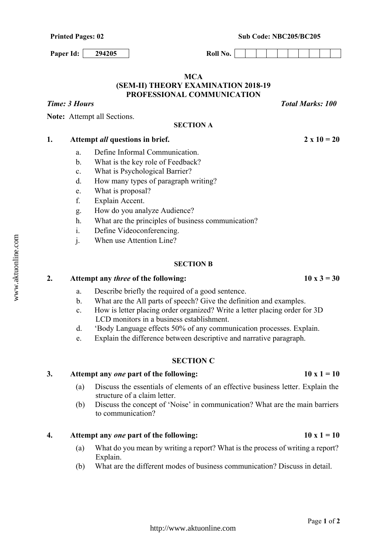Printed Pages: 02 Sub Code: NBC205/BC205

**Paper Id:** 294205 Roll No.

## **MCA (SEM-II) THEORY EXAMINATION 2018-19 PROFESSIONAL COMMUNICATION**

**SECTION A**

*Time: 3 Hours* Total *Marks: 100 Total Marks: 100* 

**Note:** Attempt all Sections.

- a. Define Informal Communication.
- b. What is the key role of Feedback?
- c. What is Psychological Barrier?
- d. How many types of paragraph writing?
- e. What is proposal?
- f. Explain Accent.
- g. How do you analyze Audience?
- h. What are the principles of business communication?
- i. Define Videoconferencing.
- j. When use Attention Line?

#### **SECTION B**

# 2. Attempt any *three* of the following:  $10 \times 3 = 30$

- a. Describe briefly the required of a good sentence.
- b. What are the All parts of speech? Give the definition and examples.
- c. How is letter placing order organized? Write a letter placing order for 3D LCD monitors in a business establishment.
- d. 'Body Language effects 50% of any communication processes. Explain.
- e. Explain the difference between descriptive and narrative paragraph.

# **SECTION C**

## 3. Attempt any *one* part of the following:  $10x1 = 10$

- (a) Discuss the essentials of elements of an effective business letter. Explain the structure of a claim letter.
- (b) Discuss the concept of 'Noise' in communication? What are the main barriers to communication?

## **4.** Attempt any *one* part of the following:  $10x1 = 10$

- (a) What do you mean by writing a report? What is the process of writing a report? Explain.
- (b) What are the different modes of business communication? Discuss in detail.

1. Attempt *all* questions in brief. 2 x  $10 = 20$ 

Page **1** of **2**